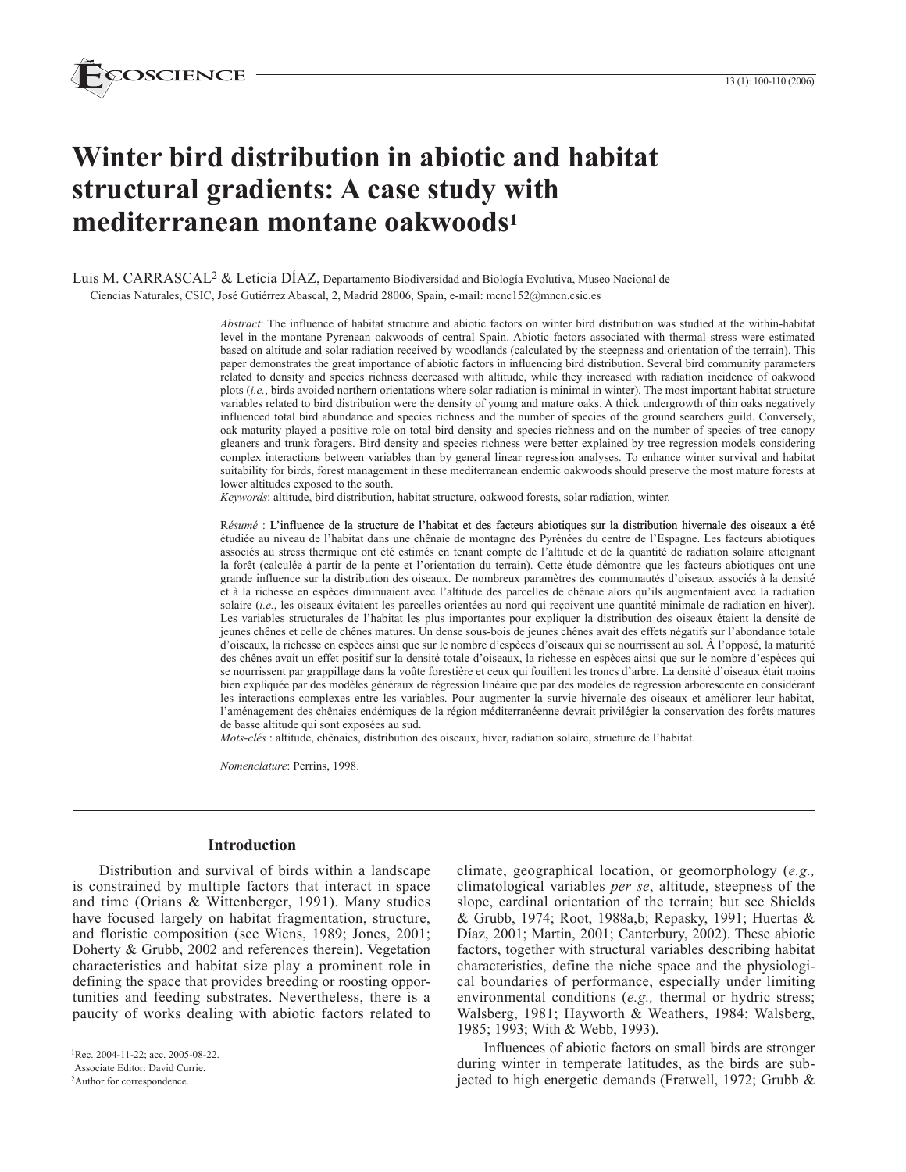# **Winter bird distribution in abiotic and habitat structural gradients: A case study with mediterranean montane oakwoods<sup>1</sup>**

Luis M. CARRASCAL<sup>2</sup> & Leticia DÍAZ, Departamento Biodiversidad and Biología Evolutiva, Museo Nacional de Ciencias Naturales, CSIC, José Gutiérrez Abascal, 2, Madrid 28006, Spain, e-mail: mcnc152@mncn.csic.es

> *Abstract*: The influence of habitat structure and abiotic factors on winter bird distribution was studied at the within-habitat level in the montane Pyrenean oakwoods of central Spain. Abiotic factors associated with thermal stress were estimated based on altitude and solar radiation received by woodlands (calculated by the steepness and orientation of the terrain). This paper demonstrates the great importance of abiotic factors in influencing bird distribution. Several bird community parameters related to density and species richness decreased with altitude, while they increased with radiation incidence of oakwood plots (*i.e.*, birds avoided northern orientations where solar radiation is minimal in winter). The most important habitat structure variables related to bird distribution were the density of young and mature oaks. A thick undergrowth of thin oaks negatively influenced total bird abundance and species richness and the number of species of the ground searchers guild. Conversely, oak maturity played a positive role on total bird density and species richness and on the number of species of tree canopy gleaners and trunk foragers. Bird density and species richness were better explained by tree regression models considering complex interactions between variables than by general linear regression analyses. To enhance winter survival and habitat suitability for birds, forest management in these mediterranean endemic oakwoods should preserve the most mature forests at lower altitudes exposed to the south.

*Keywords*: altitude, bird distribution, habitat structure, oakwood forests, solar radiation, winter.

Résumé : L'influence de la structure de l'habitat et des facteurs abiotiques sur la distribution hivernale des oiseaux a été étudiée au niveau de l'habitat dans une chênaie de montagne des Pyrénées du centre de l'Espagne. Les facteurs abiotiques associés au stress thermique ont été estimés en tenant compte de l'altitude et de la quantité de radiation solaire atteignant la forêt (calculée à partir de la pente et l'orientation du terrain). Cette étude démontre que les facteurs abiotiques ont une grande influence sur la distribution des oiseaux. De nombreux paramètres des communautés d'oiseaux associés à la densité et à la richesse en espèces diminuaient avec l'altitude des parcelles de chênaie alors qu'ils augmentaient avec la radiation solaire (*i.e.*, les oiseaux évitaient les parcelles orientées au nord qui reçoivent une quantité minimale de radiation en hiver). Les variables structurales de l'habitat les plus importantes pour expliquer la distribution des oiseaux étaient la densité de jeunes chênes et celle de chênes matures. Un dense sous-bois de jeunes chênes avait des effets négatifs sur l'abondance totale d'oiseaux, la richesse en espèces ainsi que sur le nombre d'espèces d'oiseaux qui se nourrissent au sol. À l'opposé, la maturité des chênes avait un effet positif sur la densité totale d'oiseaux, la richesse en espèces ainsi que sur le nombre d'espèces qui se nourrissent par grappillage dans la voûte forestière et ceux qui fouillent les troncs d'arbre. La densité d'oiseaux était moins bien expliquée par des modèles généraux de régression linéaire que par des modèles de régression arborescente en considérant les interactions complexes entre les variables. Pour augmenter la survie hivernale des oiseaux et améliorer leur habitat, l'aménagement des chênaies endémiques de la région méditerranéenne devrait privilégier la conservation des forêts matures de basse altitude qui sont exposées au sud.

*Mots-clés* : altitude, chênaies, distribution des oiseaux, hiver, radiation solaire, structure de l'habitat.

*Nomenclature*: Perrins, 1998.

## **Introduction**

Distribution and survival of birds within a landscape is constrained by multiple factors that interact in space and time (Orians & Wittenberger, 1991). Many studies have focused largely on habitat fragmentation, structure, and floristic composition (see Wiens, 1989; Jones, 2001; Doherty & Grubb, 2002 and references therein). Vegetation characteristics and habitat size play a prominent role in defining the space that provides breeding or roosting opportunities and feeding substrates. Nevertheless, there is a paucity of works dealing with abiotic factors related to

1Rec. 2004-11-22; acc. 2005-08-22.

Associate Editor: David Currie.

2Author for correspondence.

climate, geographical location, or geomorphology (*e.g.,* climatological variables *per se*, altitude, steepness of the slope, cardinal orientation of the terrain; but see Shields & Grubb, 1974; Root, 1988a,b; Repasky, 1991; Huertas & Díaz, 2001; Martin, 2001; Canterbury, 2002). These abiotic factors, together with structural variables describing habitat characteristics, define the niche space and the physiological boundaries of performance, especially under limiting environmental conditions (*e.g.,* thermal or hydric stress; Walsberg, 1981; Hayworth & Weathers, 1984; Walsberg, 1985; 1993; With & Webb, 1993).

Influences of abiotic factors on small birds are stronger during winter in temperate latitudes, as the birds are subjected to high energetic demands (Fretwell, 1972; Grubb &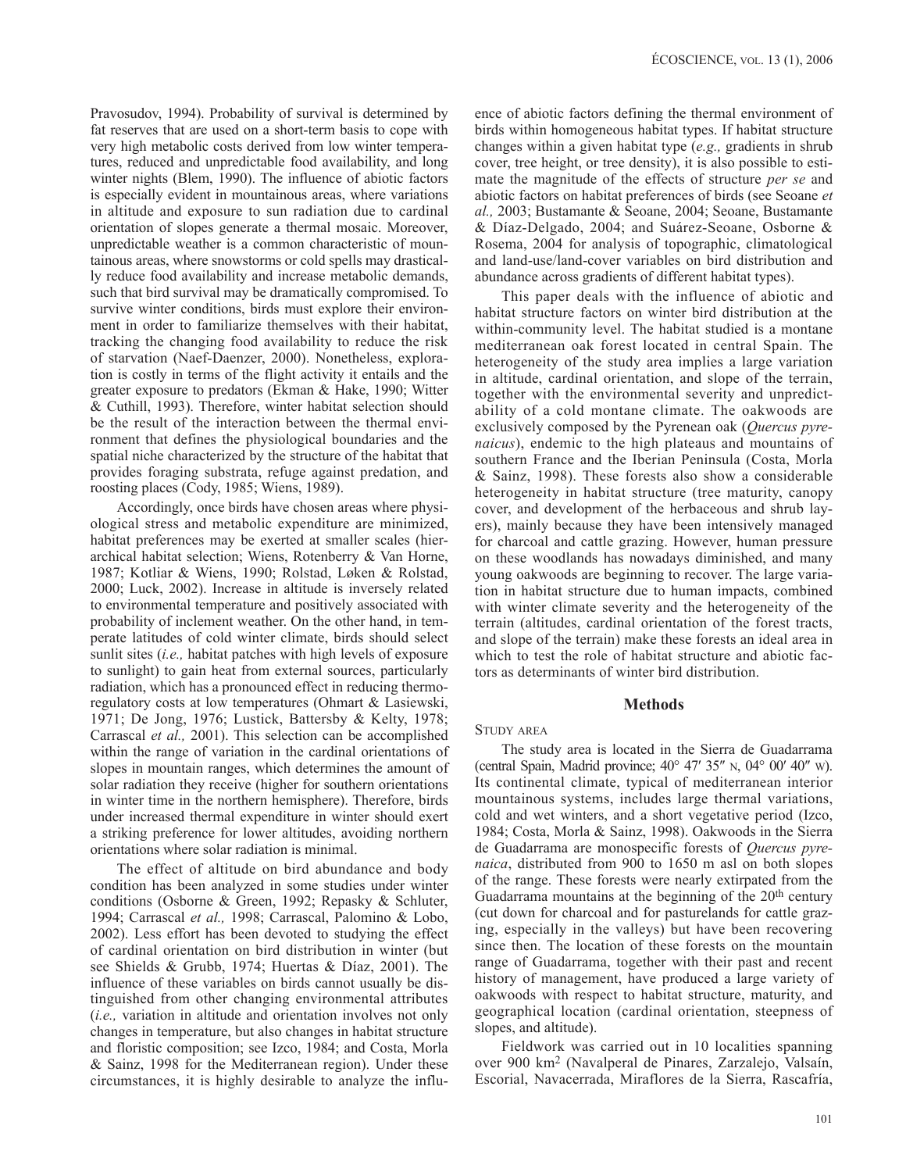Pravosudov, 1994). Probability of survival is determined by fat reserves that are used on a short-term basis to cope with very high metabolic costs derived from low winter temperatures, reduced and unpredictable food availability, and long winter nights (Blem, 1990). The influence of abiotic factors is especially evident in mountainous areas, where variations in altitude and exposure to sun radiation due to cardinal orientation of slopes generate a thermal mosaic. Moreover, unpredictable weather is a common characteristic of mountainous areas, where snowstorms or cold spells may drastically reduce food availability and increase metabolic demands, such that bird survival may be dramatically compromised. To survive winter conditions, birds must explore their environment in order to familiarize themselves with their habitat, tracking the changing food availability to reduce the risk of starvation (Naef-Daenzer, 2000). Nonetheless, exploration is costly in terms of the flight activity it entails and the greater exposure to predators (Ekman & Hake, 1990; Witter & Cuthill, 1993). Therefore, winter habitat selection should be the result of the interaction between the thermal environment that defines the physiological boundaries and the spatial niche characterized by the structure of the habitat that provides foraging substrata, refuge against predation, and roosting places (Cody, 1985; Wiens, 1989).

Accordingly, once birds have chosen areas where physiological stress and metabolic expenditure are minimized, habitat preferences may be exerted at smaller scales (hierarchical habitat selection; Wiens, Rotenberry & Van Horne, 1987; Kotliar & Wiens, 1990; Rolstad, Løken & Rolstad, 2000; Luck, 2002). Increase in altitude is inversely related to environmental temperature and positively associated with probability of inclement weather. On the other hand, in temperate latitudes of cold winter climate, birds should select sunlit sites (*i.e.,* habitat patches with high levels of exposure to sunlight) to gain heat from external sources, particularly radiation, which has a pronounced effect in reducing thermoregulatory costs at low temperatures (Ohmart & Lasiewski, 1971; De Jong, 1976; Lustick, Battersby & Kelty, 1978; Carrascal *et al.,* 2001). This selection can be accomplished within the range of variation in the cardinal orientations of slopes in mountain ranges, which determines the amount of solar radiation they receive (higher for southern orientations in winter time in the northern hemisphere). Therefore, birds under increased thermal expenditure in winter should exert a striking preference for lower altitudes, avoiding northern orientations where solar radiation is minimal.

The effect of altitude on bird abundance and body condition has been analyzed in some studies under winter conditions (Osborne & Green, 1992; Repasky & Schluter, 1994; Carrascal *et al.,* 1998; Carrascal, Palomino & Lobo, 2002). Less effort has been devoted to studying the effect of cardinal orientation on bird distribution in winter (but see Shields & Grubb, 1974; Huertas & Díaz, 2001). The influence of these variables on birds cannot usually be distinguished from other changing environmental attributes (*i.e.,* variation in altitude and orientation involves not only changes in temperature, but also changes in habitat structure and floristic composition; see Izco, 1984; and Costa, Morla & Sainz, 1998 for the Mediterranean region). Under these circumstances, it is highly desirable to analyze the influence of abiotic factors defining the thermal environment of birds within homogeneous habitat types. If habitat structure changes within a given habitat type (*e.g.,* gradients in shrub cover, tree height, or tree density), it is also possible to estimate the magnitude of the effects of structure *per se* and abiotic factors on habitat preferences of birds (see Seoane *et al.,* 2003; Bustamante & Seoane, 2004; Seoane, Bustamante & Díaz-Delgado, 2004; and Suárez-Seoane, Osborne & Rosema, 2004 for analysis of topographic, climatological and land-use/land-cover variables on bird distribution and abundance across gradients of different habitat types).

This paper deals with the influence of abiotic and habitat structure factors on winter bird distribution at the within-community level. The habitat studied is a montane mediterranean oak forest located in central Spain. The heterogeneity of the study area implies a large variation in altitude, cardinal orientation, and slope of the terrain, together with the environmental severity and unpredictability of a cold montane climate. The oakwoods are exclusively composed by the Pyrenean oak (*Quercus pyrenaicus*), endemic to the high plateaus and mountains of southern France and the Iberian Peninsula (Costa, Morla & Sainz, 1998). These forests also show a considerable heterogeneity in habitat structure (tree maturity, canopy cover, and development of the herbaceous and shrub layers), mainly because they have been intensively managed for charcoal and cattle grazing. However, human pressure on these woodlands has nowadays diminished, and many young oakwoods are beginning to recover. The large variation in habitat structure due to human impacts, combined with winter climate severity and the heterogeneity of the terrain (altitudes, cardinal orientation of the forest tracts, and slope of the terrain) make these forests an ideal area in which to test the role of habitat structure and abiotic factors as determinants of winter bird distribution.

## **Methods**

## STUDY AREA

The study area is located in the Sierra de Guadarrama (central Spain, Madrid province; 40° 47′ 35″ n, 04° 00′ 40″ w). Its continental climate, typical of mediterranean interior mountainous systems, includes large thermal variations, cold and wet winters, and a short vegetative period (Izco, 1984; Costa, Morla & Sainz, 1998). Oakwoods in the Sierra de Guadarrama are monospecific forests of *Quercus pyrenaica*, distributed from 900 to 1650 m asl on both slopes of the range. These forests were nearly extirpated from the Guadarrama mountains at the beginning of the 20<sup>th</sup> century (cut down for charcoal and for pasturelands for cattle grazing, especially in the valleys) but have been recovering since then. The location of these forests on the mountain range of Guadarrama, together with their past and recent history of management, have produced a large variety of oakwoods with respect to habitat structure, maturity, and geographical location (cardinal orientation, steepness of slopes, and altitude).

Fieldwork was carried out in 10 localities spanning over 900 km2 (Navalperal de Pinares, Zarzalejo, Valsaín, Escorial, Navacerrada, Miraflores de la Sierra, Rascafría,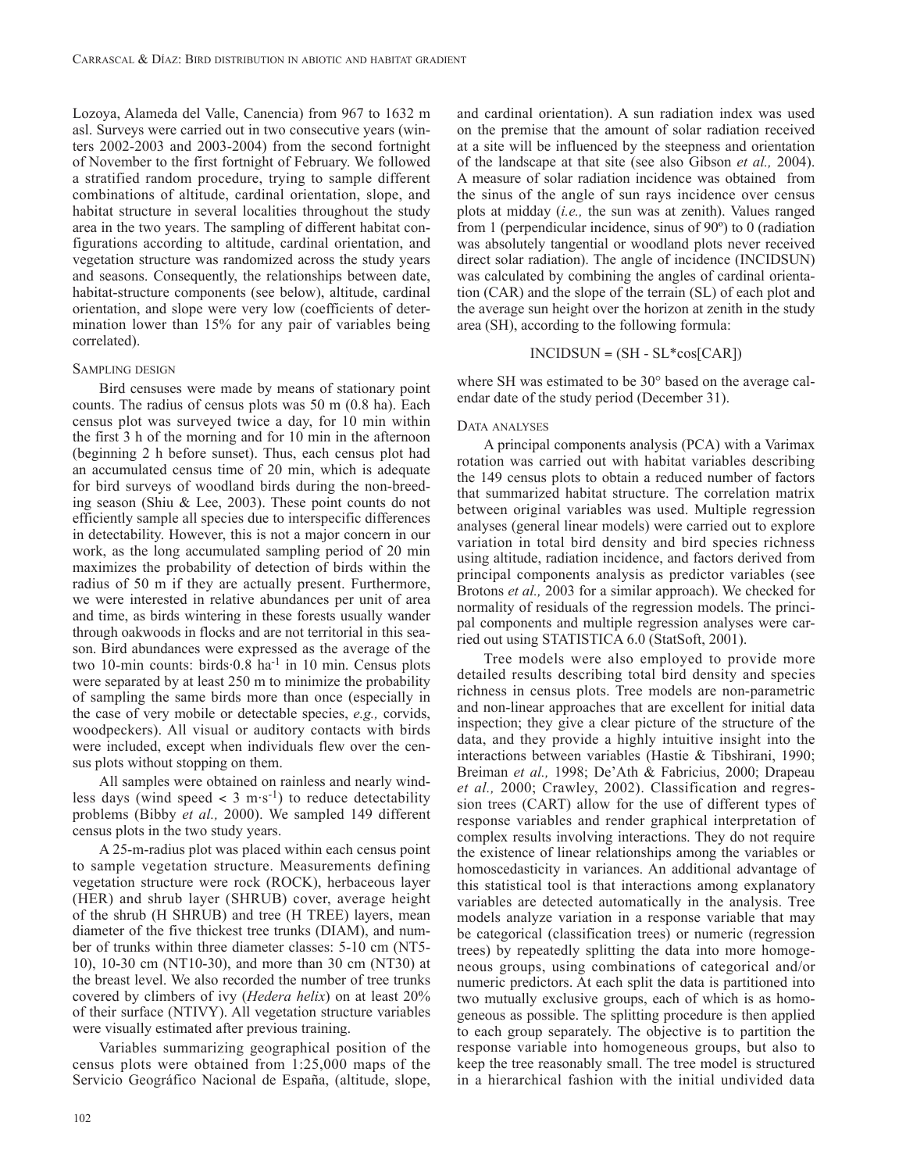Lozoya, Alameda del Valle, Canencia) from 967 to 1632 m asl. Surveys were carried out in two consecutive years (winters 2002-2003 and 2003-2004) from the second fortnight of November to the first fortnight of February. We followed a stratified random procedure, trying to sample different combinations of altitude, cardinal orientation, slope, and habitat structure in several localities throughout the study area in the two years. The sampling of different habitat configurations according to altitude, cardinal orientation, and vegetation structure was randomized across the study years and seasons. Consequently, the relationships between date, habitat-structure components (see below), altitude, cardinal orientation, and slope were very low (coefficients of determination lower than 15% for any pair of variables being correlated).

#### Sampling design

Bird censuses were made by means of stationary point counts. The radius of census plots was 50 m (0.8 ha). Each census plot was surveyed twice a day, for 10 min within the first 3 h of the morning and for 10 min in the afternoon (beginning 2 h before sunset). Thus, each census plot had an accumulated census time of 20 min, which is adequate for bird surveys of woodland birds during the non-breeding season (Shiu & Lee, 2003). These point counts do not efficiently sample all species due to interspecific differences in detectability. However, this is not a major concern in our work, as the long accumulated sampling period of 20 min maximizes the probability of detection of birds within the radius of 50 m if they are actually present. Furthermore, we were interested in relative abundances per unit of area and time, as birds wintering in these forests usually wander through oakwoods in flocks and are not territorial in this season. Bird abundances were expressed as the average of the two 10-min counts: birds·0.8 ha<sup>-1</sup> in 10 min. Census plots were separated by at least 250 m to minimize the probability of sampling the same birds more than once (especially in the case of very mobile or detectable species, *e.g.,* corvids, woodpeckers). All visual or auditory contacts with birds were included, except when individuals flew over the census plots without stopping on them.

All samples were obtained on rainless and nearly windless days (wind speed <  $3 \text{ m·s}^{-1}$ ) to reduce detectability problems (Bibby *et al.,* 2000). We sampled 149 different census plots in the two study years.

A 25-m-radius plot was placed within each census point to sample vegetation structure. Measurements defining vegetation structure were rock (ROCK), herbaceous layer (HER) and shrub layer (SHRUB) cover, average height of the shrub (H SHRUB) and tree (H TREE) layers, mean diameter of the five thickest tree trunks (DIAM), and number of trunks within three diameter classes: 5-10 cm (NT5- 10), 10-30 cm (NT10-30), and more than 30 cm (NT30) at the breast level. We also recorded the number of tree trunks covered by climbers of ivy (*Hedera helix*) on at least 20% of their surface (NTIVY). All vegetation structure variables were visually estimated after previous training.

Variables summarizing geographical position of the census plots were obtained from 1:25,000 maps of the Servicio Geográfico Nacional de España, (altitude, slope,

and cardinal orientation). A sun radiation index was used on the premise that the amount of solar radiation received at a site will be influenced by the steepness and orientation of the landscape at that site (see also Gibson *et al.,* 2004). A measure of solar radiation incidence was obtained from the sinus of the angle of sun rays incidence over census plots at midday (*i.e.,* the sun was at zenith). Values ranged from 1 (perpendicular incidence, sinus of 90º) to 0 (radiation was absolutely tangential or woodland plots never received direct solar radiation). The angle of incidence (INCIDSUN) was calculated by combining the angles of cardinal orientation (CAR) and the slope of the terrain (SL) of each plot and the average sun height over the horizon at zenith in the study area (SH), according to the following formula:

## $INCIDSUM = (SH - SL*cos[CAR])$

where SH was estimated to be 30° based on the average calendar date of the study period (December 31).

#### DATA ANALYSES

A principal components analysis (PCA) with a Varimax rotation was carried out with habitat variables describing the 149 census plots to obtain a reduced number of factors that summarized habitat structure. The correlation matrix between original variables was used. Multiple regression analyses (general linear models) were carried out to explore variation in total bird density and bird species richness using altitude, radiation incidence, and factors derived from principal components analysis as predictor variables (see Brotons *et al.,* 2003 for a similar approach). We checked for normality of residuals of the regression models. The principal components and multiple regression analyses were carried out using STATISTICA 6.0 (StatSoft, 2001).

Tree models were also employed to provide more detailed results describing total bird density and species richness in census plots. Tree models are non-parametric and non-linear approaches that are excellent for initial data inspection; they give a clear picture of the structure of the data, and they provide a highly intuitive insight into the interactions between variables (Hastie & Tibshirani, 1990; Breiman *et al.,* 1998; De'Ath & Fabricius, 2000; Drapeau *et al.,* 2000; Crawley, 2002). Classification and regression trees (CART) allow for the use of different types of response variables and render graphical interpretation of complex results involving interactions. They do not require the existence of linear relationships among the variables or homoscedasticity in variances. An additional advantage of this statistical tool is that interactions among explanatory variables are detected automatically in the analysis. Tree models analyze variation in a response variable that may be categorical (classification trees) or numeric (regression trees) by repeatedly splitting the data into more homogeneous groups, using combinations of categorical and/or numeric predictors. At each split the data is partitioned into two mutually exclusive groups, each of which is as homogeneous as possible. The splitting procedure is then applied to each group separately. The objective is to partition the response variable into homogeneous groups, but also to keep the tree reasonably small. The tree model is structured in a hierarchical fashion with the initial undivided data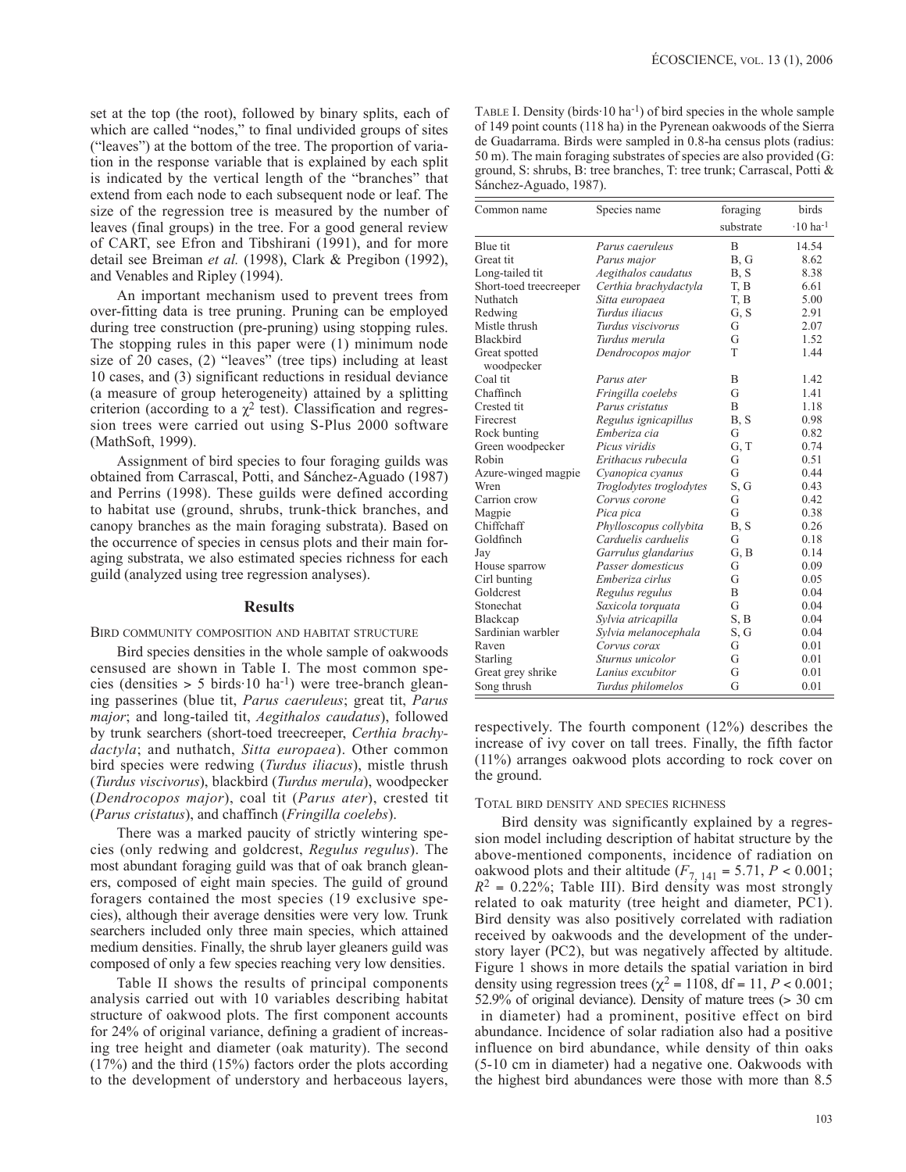set at the top (the root), followed by binary splits, each of which are called "nodes," to final undivided groups of sites ("leaves") at the bottom of the tree. The proportion of variation in the response variable that is explained by each split is indicated by the vertical length of the "branches" that extend from each node to each subsequent node or leaf. The size of the regression tree is measured by the number of leaves (final groups) in the tree. For a good general review of CART, see Efron and Tibshirani (1991), and for more detail see Breiman *et al.* (1998), Clark & Pregibon (1992), and Venables and Ripley (1994).

An important mechanism used to prevent trees from over-fitting data is tree pruning. Pruning can be employed during tree construction (pre-pruning) using stopping rules. The stopping rules in this paper were (1) minimum node size of 20 cases, (2) "leaves" (tree tips) including at least 10 cases, and (3) significant reductions in residual deviance (a measure of group heterogeneity) attained by a splitting criterion (according to a  $\chi^2$  test). Classification and regression trees were carried out using S-Plus 2000 software (MathSoft, 1999).

Assignment of bird species to four foraging guilds was obtained from Carrascal, Potti, and Sánchez-Aguado (1987) and Perrins (1998). These guilds were defined according to habitat use (ground, shrubs, trunk-thick branches, and canopy branches as the main foraging substrata). Based on the occurrence of species in census plots and their main foraging substrata, we also estimated species richness for each guild (analyzed using tree regression analyses).

#### **Results**

### Bird community composition and habitat structure

Bird species densities in the whole sample of oakwoods censused are shown in Table I. The most common species (densities  $> 5$  birds·10 ha<sup>-1</sup>) were tree-branch gleaning passerines (blue tit, *Parus caeruleus*; great tit, *Parus major*; and long-tailed tit, *Aegithalos caudatus*), followed by trunk searchers (short-toed treecreeper, *Certhia brachydactyla*; and nuthatch, *Sitta europaea*). Other common bird species were redwing (*Turdus iliacus*), mistle thrush (*Turdus viscivorus*), blackbird (*Turdus merula*), woodpecker (*Dendrocopos major*), coal tit (*Parus ater*), crested tit (*Parus cristatus*), and chaffinch (*Fringilla coelebs*).

There was a marked paucity of strictly wintering species (only redwing and goldcrest, *Regulus regulus*). The most abundant foraging guild was that of oak branch gleaners, composed of eight main species. The guild of ground foragers contained the most species (19 exclusive species), although their average densities were very low. Trunk searchers included only three main species, which attained medium densities. Finally, the shrub layer gleaners guild was composed of only a few species reaching very low densities.

Table II shows the results of principal components analysis carried out with 10 variables describing habitat structure of oakwood plots. The first component accounts for 24% of original variance, defining a gradient of increasing tree height and diameter (oak maturity). The second (17%) and the third (15%) factors order the plots according to the development of understory and herbaceous layers,

| TABLE I. Density (birds $10 \text{ ha}^{-1}$ ) of bird species in the whole sample |
|------------------------------------------------------------------------------------|
| of 149 point counts (118 ha) in the Pyrenean oakwoods of the Sierra                |
| de Guadarrama. Birds were sampled in 0.8-ha census plots (radius:                  |
| $50$ m). The main foraging substrates of species are also provided (G:             |
| ground, S: shrubs, B: tree branches, T: tree trunk; Carrascal, Potti $\&$          |
| Sánchez-Aguado, 1987).                                                             |

| Common name            | Species name            | foraging       | birds                       |
|------------------------|-------------------------|----------------|-----------------------------|
|                        |                         |                |                             |
|                        |                         | substrate      | $\cdot$ 10 ha <sup>-1</sup> |
| Blue tit               | Parus caeruleus         | B              | 14.54                       |
| Great tit              | Parus major             | B, G           | 8.62                        |
| Long-tailed tit        | Aegithalos caudatus     | B, S           | 8.38                        |
| Short-toed treecreeper | Certhia brachydactyla   | T, B           | 6.61                        |
| Nuthatch               | Sitta europaea          | T, B           | 5.00                        |
| Redwing                | Turdus iliacus          | G, S           | 2.91                        |
| Mistle thrush          | Turdus viscivorus       | G              | 2.07                        |
| Blackbird              | Turdus merula           | G              | 1.52                        |
| Great spotted          | Dendrocopos major       | T              | 1.44                        |
| woodpecker             |                         |                |                             |
| Coal tit               | Parus ater              | B              | 1.42                        |
| Chaffinch              | Fringilla coelebs       | G              | 1.41                        |
| Crested tit            | Parus cristatus         | $\overline{B}$ | 1.18                        |
| Firecrest              | Regulus ignicapillus    | B, S           | 0.98                        |
| Rock bunting           | Emberiza cia            | G              | 0.82                        |
| Green woodpecker       | Picus viridis           | G, T           | 0.74                        |
| Robin                  | Erithacus rubecula      | G              | 0.51                        |
| Azure-winged magpie    | Cyanopica cyanus        | G              | 0.44                        |
| Wren                   | Troglodytes troglodytes | S, G           | 0.43                        |
| Carrion crow           | Corvus corone           | G              | 0.42                        |
| Magpie                 | Pica pica               | G              | 0.38                        |
| Chiffchaff             | Phylloscopus collybita  | B, S           | 0.26                        |
| Goldfinch              | Carduelis carduelis     | G              | 0.18                        |
| Jay                    | Garrulus glandarius     | G, B           | 0.14                        |
| House sparrow          | Passer domesticus       | G              | 0.09                        |
| Cirl bunting           | Emberiza cirlus         | G              | 0.05                        |
| Goldcrest              | Regulus regulus         | B              | 0.04                        |
| Stonechat              | Saxicola torquata       | G              | 0.04                        |
| Blackcap               | Sylvia atricapilla      | S, B           | 0.04                        |
| Sardinian warbler      | Sylvia melanocephala    | S, G           | 0.04                        |
| Raven                  | Corvus corax            | G              | 0.01                        |
| Starling               | Sturnus unicolor        | G              | 0.01                        |
| Great grey shrike      | Lanius excubitor        | G              | 0.01                        |
| Song thrush            | Turdus philomelos       | G              | 0.01                        |

respectively. The fourth component (12%) describes the increase of ivy cover on tall trees. Finally, the fifth factor (11%) arranges oakwood plots according to rock cover on the ground.

#### Total bird density and species richness

Bird density was significantly explained by a regression model including description of habitat structure by the above-mentioned components, incidence of radiation on oakwood plots and their altitude  $(F_{7, 141} = 5.71, P < 0.001;$  $R^2$  = 0.22%; Table III). Bird density was most strongly related to oak maturity (tree height and diameter, PC1). Bird density was also positively correlated with radiation received by oakwoods and the development of the understory layer (PC2), but was negatively affected by altitude. Figure 1 shows in more details the spatial variation in bird density using regression trees ( $\chi^2$  = 1108, df = 11, *P* < 0.001; 52.9% of original deviance). Density of mature trees (> 30 cm in diameter) had a prominent, positive effect on bird abundance. Incidence of solar radiation also had a positive influence on bird abundance, while density of thin oaks (5-10 cm in diameter) had a negative one. Oakwoods with the highest bird abundances were those with more than 8.5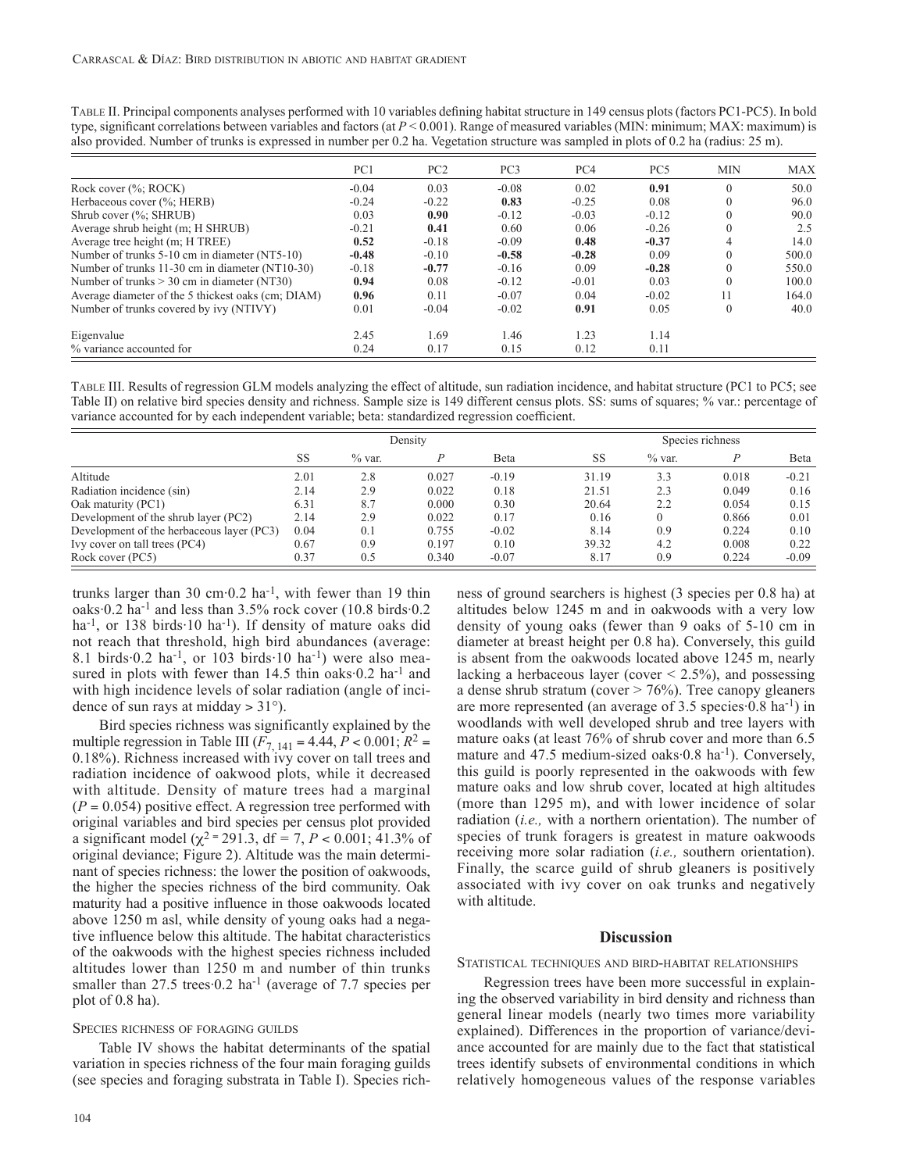Table II. Principal components analyses performed with 10 variables defining habitat structure in 149 census plots (factors PC1-PC5). In bold type, significant correlations between variables and factors (at *P* < 0.001). Range of measured variables (MIN: minimum; MAX: maximum) is also provided. Number of trunks is expressed in number per 0.2 ha. Vegetation structure was sampled in plots of 0.2 ha (radius: 25 m).

|                                                    | PC1     | PC <sub>2</sub> | PC <sub>3</sub> | PC4     | PC <sub>5</sub> | <b>MIN</b> | <b>MAX</b> |
|----------------------------------------------------|---------|-----------------|-----------------|---------|-----------------|------------|------------|
| Rock cover (%; ROCK)                               | $-0.04$ | 0.03            | $-0.08$         | 0.02    | 0.91            | $\theta$   | 50.0       |
| Herbaceous cover (%; HERB)                         | $-0.24$ | $-0.22$         | 0.83            | $-0.25$ | 0.08            |            | 96.0       |
| Shrub cover $(\%;$ SHRUB)                          | 0.03    | 0.90            | $-0.12$         | $-0.03$ | $-0.12$         | $\theta$   | 90.0       |
| Average shrub height (m; H SHRUB)                  | $-0.21$ | 0.41            | 0.60            | 0.06    | $-0.26$         |            | 2.5        |
| Average tree height (m; H TREE)                    | 0.52    | $-0.18$         | $-0.09$         | 0.48    | $-0.37$         | 4          | 14.0       |
| Number of trunks 5-10 cm in diameter (NT5-10)      | $-0.48$ | $-0.10$         | $-0.58$         | $-0.28$ | 0.09            | $\theta$   | 500.0      |
| Number of trunks 11-30 cm in diameter (NT10-30)    | $-0.18$ | $-0.77$         | $-0.16$         | 0.09    | $-0.28$         | $\theta$   | 550.0      |
| Number of trunks $> 30$ cm in diameter (NT30)      | 0.94    | 0.08            | $-0.12$         | $-0.01$ | 0.03            | $\theta$   | 100.0      |
| Average diameter of the 5 thickest oaks (cm; DIAM) | 0.96    | 0.11            | $-0.07$         | 0.04    | $-0.02$         | 11         | 164.0      |
| Number of trunks covered by ivy (NTIVY)            | 0.01    | $-0.04$         | $-0.02$         | 0.91    | 0.05            | $\theta$   | 40.0       |
| Eigenvalue                                         | 2.45    | 1.69            | 1.46            | 1.23    | 1.14            |            |            |
| % variance accounted for                           | 0.24    | 0.17            | 0.15            | 0.12    | 0.11            |            |            |

Table III. Results of regression GLM models analyzing the effect of altitude, sun radiation incidence, and habitat structure (PC1 to PC5; see Table II) on relative bird species density and richness. Sample size is 149 different census plots. SS: sums of squares; % var.: percentage of variance accounted for by each independent variable; beta: standardized regression coefficient.

|                                           | Density |          |       |         | Species richness |        |       |         |
|-------------------------------------------|---------|----------|-------|---------|------------------|--------|-------|---------|
|                                           | SS      | $%$ var. |       | Beta    | SS               | % var. |       | Beta    |
| Altitude                                  | 2.01    | 2.8      | 0.027 | $-0.19$ | 31.19            | 3.3    | 0.018 | $-0.21$ |
| Radiation incidence (sin)                 | 2.14    | 2.9      | 0.022 | 0.18    | 21.51            | 2.3    | 0.049 | 0.16    |
| Oak maturity (PC1)                        | 6.31    | 8.7      | 0.000 | 0.30    | 20.64            | 2.2    | 0.054 | 0.15    |
| Development of the shrub layer (PC2)      | 2.14    | 2.9      | 0.022 | 0.17    | 0.16             |        | 0.866 | 0.01    |
| Development of the herbaceous layer (PC3) | 0.04    | 0.1      | 0.755 | $-0.02$ | 8.14             | 0.9    | 0.224 | 0.10    |
| Ivy cover on tall trees (PC4)             | 0.67    | 0.9      | 0.197 | 0.10    | 39.32            | 4.2    | 0.008 | 0.22    |
| Rock cover (PC5)                          | 0.37    | 0.5      | 0.340 | $-0.07$ | 8.17             | 0.9    | 0.224 | $-0.09$ |

trunks larger than 30 cm $\cdot$ 0.2 ha<sup>-1</sup>, with fewer than 19 thin oaks·0.2 ha-1 and less than 3.5% rock cover (10.8 birds·0.2 ha<sup>-1</sup>, or 138 birds·10 ha<sup>-1</sup>). If density of mature oaks did not reach that threshold, high bird abundances (average: 8.1 birds $\cdot$ 0.2 ha<sup>-1</sup>, or 103 birds $\cdot$ 10 ha<sup>-1</sup>) were also measured in plots with fewer than  $14.5$  thin oaks 0.2 ha<sup>-1</sup> and with high incidence levels of solar radiation (angle of incidence of sun rays at midday  $> 31^{\circ}$ ).

Bird species richness was significantly explained by the multiple regression in Table III ( $\overline{F}_{7, 141} = 4.44, \overline{P} < 0.001; \overline{R}^2 =$ 0.18%). Richness increased with ivy cover on tall trees and radiation incidence of oakwood plots, while it decreased with altitude. Density of mature trees had a marginal  $(P = 0.054)$  positive effect. A regression tree performed with original variables and bird species per census plot provided a significant model ( $\chi^2$ <sup>=</sup> 291.3, df = 7, *P* < 0.001; 41.3% of original deviance; Figure 2). Altitude was the main determinant of species richness: the lower the position of oakwoods, the higher the species richness of the bird community. Oak maturity had a positive influence in those oakwoods located above 1250 m asl, while density of young oaks had a negative influence below this altitude. The habitat characteristics of the oakwoods with the highest species richness included altitudes lower than 1250 m and number of thin trunks smaller than 27.5 trees 0.2 ha<sup>-1</sup> (average of 7.7 species per plot of 0.8 ha).

#### Species richness of foraging guilds

Table IV shows the habitat determinants of the spatial variation in species richness of the four main foraging guilds (see species and foraging substrata in Table I). Species rich-

104

ness of ground searchers is highest (3 species per 0.8 ha) at altitudes below 1245 m and in oakwoods with a very low density of young oaks (fewer than 9 oaks of 5-10 cm in diameter at breast height per 0.8 ha). Conversely, this guild is absent from the oakwoods located above 1245 m, nearly lacking a herbaceous layer (cover  $\leq$  2.5%), and possessing a dense shrub stratum (cover  $> 76\%$ ). Tree canopy gleaners are more represented (an average of  $3.5$  species $0.8$  ha<sup>-1</sup>) in woodlands with well developed shrub and tree layers with mature oaks (at least 76% of shrub cover and more than 6.5 mature and  $47.5$  medium-sized oaks  $0.8$  ha<sup>-1</sup>). Conversely, this guild is poorly represented in the oakwoods with few mature oaks and low shrub cover, located at high altitudes (more than 1295 m), and with lower incidence of solar radiation (*i.e.,* with a northern orientation). The number of species of trunk foragers is greatest in mature oakwoods receiving more solar radiation (*i.e.,* southern orientation). Finally, the scarce guild of shrub gleaners is positively associated with ivy cover on oak trunks and negatively with altitude.

#### **Discussion**

STATISTICAL TECHNIQUES AND BIRD-HABITAT RELATIONSHIPS

Regression trees have been more successful in explaining the observed variability in bird density and richness than general linear models (nearly two times more variability explained). Differences in the proportion of variance/deviance accounted for are mainly due to the fact that statistical trees identify subsets of environmental conditions in which relatively homogeneous values of the response variables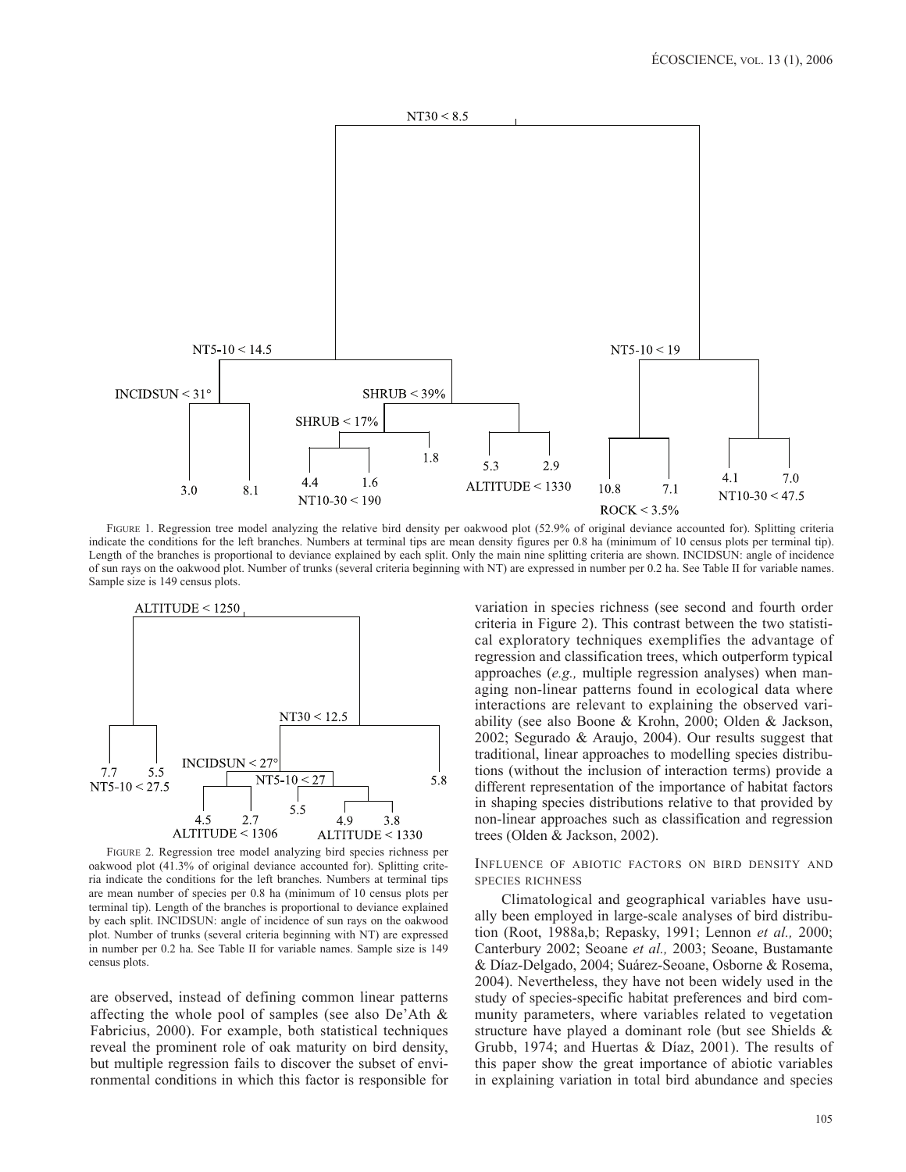

FIGURE 1. Regression tree model analyzing the relative bird density per oakwood plot (52.9% of original deviance accounted for). Splitting criteria indicate the conditions for the left branches. Numbers at terminal tips are mean density figures per 0.8 ha (minimum of 10 census plots per terminal tip). Length of the branches is proportional to deviance explained by each split. Only the main nine splitting criteria are shown. INCIDSUN: angle of incidence of sun rays on the oakwood plot. Number of trunks (several criteria beginning with NT) are expressed in number per 0.2 ha. See Table II for variable names. Sample size is 149 census plots.



Figure 2. Regression tree model analyzing bird species richness per oakwood plot (41.3% of original deviance accounted for). Splitting criteria indicate the conditions for the left branches. Numbers at terminal tips are mean number of species per 0.8 ha (minimum of 10 census plots per terminal tip). Length of the branches is proportional to deviance explained by each split. INCIDSUN: angle of incidence of sun rays on the oakwood plot. Number of trunks (several criteria beginning with NT) are expressed in number per 0.2 ha. See Table II for variable names. Sample size is 149 census plots.

are observed, instead of defining common linear patterns affecting the whole pool of samples (see also De'Ath & Fabricius, 2000). For example, both statistical techniques reveal the prominent role of oak maturity on bird density, but multiple regression fails to discover the subset of environmental conditions in which this factor is responsible for variation in species richness (see second and fourth order criteria in Figure 2). This contrast between the two statistical exploratory techniques exemplifies the advantage of regression and classification trees, which outperform typical approaches (*e.g.,* multiple regression analyses) when managing non-linear patterns found in ecological data where interactions are relevant to explaining the observed variability (see also Boone & Krohn, 2000; Olden & Jackson, 2002; Segurado & Araujo, 2004). Our results suggest that traditional, linear approaches to modelling species distributions (without the inclusion of interaction terms) provide a different representation of the importance of habitat factors in shaping species distributions relative to that provided by non-linear approaches such as classification and regression trees (Olden & Jackson, 2002).

## Influence of abiotic factors on bird density and species richness

Climatological and geographical variables have usually been employed in large-scale analyses of bird distribution (Root, 1988a,b; Repasky, 1991; Lennon *et al.,* 2000; Canterbury 2002; Seoane *et al.,* 2003; Seoane, Bustamante & Díaz-Delgado, 2004; Suárez-Seoane, Osborne & Rosema, 2004). Nevertheless, they have not been widely used in the study of species-specific habitat preferences and bird community parameters, where variables related to vegetation structure have played a dominant role (but see Shields & Grubb, 1974; and Huertas & Díaz, 2001). The results of this paper show the great importance of abiotic variables in explaining variation in total bird abundance and species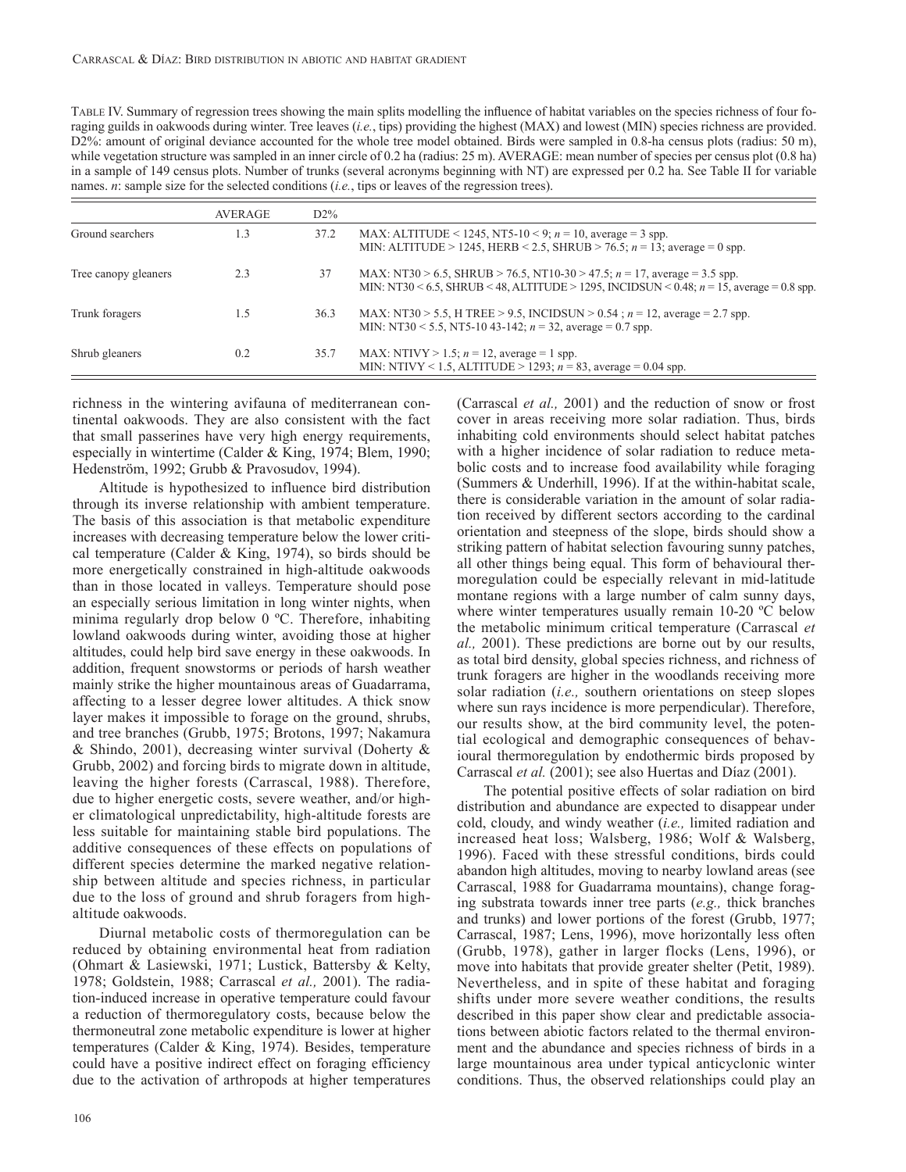| TABLE IV. Summary of regression trees showing the main splits modelling the influence of habitat variables on the species richness of four fo-         |
|--------------------------------------------------------------------------------------------------------------------------------------------------------|
| raging guilds in oakwoods during winter. Tree leaves ( <i>i.e.</i> , tips) providing the highest (MAX) and lowest (MIN) species richness are provided. |
| $D2\%$ ; amount of original deviance accounted for the whole tree model obtained. Birds were sampled in 0.8-ha census plots (radius: 50 m).            |
| while vegetation structure was sampled in an inner circle of 0.2 ha (radius: 25 m). AVERAGE: mean number of species per census plot (0.8 ha)           |
| in a sample of 149 census plots. Number of trunks (several acronyms beginning with NT) are expressed per 0.2 ha. See Table II for variable             |
| names. $n$ : sample size for the selected conditions ( <i>i.e.</i> , tips or leaves of the regression trees).                                          |

|                      | <b>AVERAGE</b> | $D2\%$ |                                                                                                                                                                              |
|----------------------|----------------|--------|------------------------------------------------------------------------------------------------------------------------------------------------------------------------------|
| Ground searchers     | 1.3            | 37.2   | MAX: ALTITUDE < 1245, NT5-10 < 9; $n = 10$ , average = 3 spp.<br>MIN: ALTITUDE > 1245, HERB < 2.5, SHRUB > 76.5; $n = 13$ ; average = 0 spp.                                 |
| Tree canopy gleaners | 23             | 37     | MAX: NT30 > 6.5, SHRUB > 76.5, NT10-30 > 47.5; $n = 17$ , average = 3.5 spp.<br>MIN: NT30 < 6.5, SHRUB < 48, ALTITUDE > 1295, INCIDSUN < 0.48; $n = 15$ , average = 0.8 spp. |
| Trunk foragers       | 1.5            | 36.3   | MAX: NT30 > 5.5, H TREE > 9.5, INCIDSUN > 0.54; $n = 12$ , average = 2.7 spp.<br>MIN: NT30 < 5.5, NT5-10 43-142; $n = 32$ , average = 0.7 spp.                               |
| Shrub gleaners       | 0.2            | 35.7   | MAX: NTIVY > 1.5; $n = 12$ , average = 1 spp.<br>MIN: NTIVY < 1.5, ALTITUDE > 1293; $n = 83$ , average = 0.04 spp.                                                           |

richness in the wintering avifauna of mediterranean continental oakwoods. They are also consistent with the fact that small passerines have very high energy requirements, especially in wintertime (Calder & King, 1974; Blem, 1990; Hedenström, 1992; Grubb & Pravosudov, 1994).

Altitude is hypothesized to influence bird distribution through its inverse relationship with ambient temperature. The basis of this association is that metabolic expenditure increases with decreasing temperature below the lower critical temperature (Calder & King, 1974), so birds should be more energetically constrained in high-altitude oakwoods than in those located in valleys. Temperature should pose an especially serious limitation in long winter nights, when minima regularly drop below 0 ºC. Therefore, inhabiting lowland oakwoods during winter, avoiding those at higher altitudes, could help bird save energy in these oakwoods. In addition, frequent snowstorms or periods of harsh weather mainly strike the higher mountainous areas of Guadarrama, affecting to a lesser degree lower altitudes. A thick snow layer makes it impossible to forage on the ground, shrubs, and tree branches (Grubb, 1975; Brotons, 1997; Nakamura & Shindo, 2001), decreasing winter survival (Doherty & Grubb, 2002) and forcing birds to migrate down in altitude, leaving the higher forests (Carrascal, 1988). Therefore, due to higher energetic costs, severe weather, and/or higher climatological unpredictability, high-altitude forests are less suitable for maintaining stable bird populations. The additive consequences of these effects on populations of different species determine the marked negative relationship between altitude and species richness, in particular due to the loss of ground and shrub foragers from highaltitude oakwoods.

Diurnal metabolic costs of thermoregulation can be reduced by obtaining environmental heat from radiation (Ohmart & Lasiewski, 1971; Lustick, Battersby & Kelty, 1978; Goldstein, 1988; Carrascal *et al.,* 2001). The radiation-induced increase in operative temperature could favour a reduction of thermoregulatory costs, because below the thermoneutral zone metabolic expenditure is lower at higher temperatures (Calder & King, 1974). Besides, temperature could have a positive indirect effect on foraging efficiency due to the activation of arthropods at higher temperatures

(Carrascal *et al.,* 2001) and the reduction of snow or frost cover in areas receiving more solar radiation. Thus, birds inhabiting cold environments should select habitat patches with a higher incidence of solar radiation to reduce metabolic costs and to increase food availability while foraging (Summers & Underhill, 1996). If at the within-habitat scale, there is considerable variation in the amount of solar radiation received by different sectors according to the cardinal orientation and steepness of the slope, birds should show a striking pattern of habitat selection favouring sunny patches, all other things being equal. This form of behavioural thermoregulation could be especially relevant in mid-latitude montane regions with a large number of calm sunny days, where winter temperatures usually remain 10-20 °C below the metabolic minimum critical temperature (Carrascal *et al.,* 2001). These predictions are borne out by our results, as total bird density, global species richness, and richness of trunk foragers are higher in the woodlands receiving more solar radiation (*i.e.,* southern orientations on steep slopes where sun rays incidence is more perpendicular). Therefore, our results show, at the bird community level, the potential ecological and demographic consequences of behavioural thermoregulation by endothermic birds proposed by Carrascal *et al.* (2001); see also Huertas and Díaz (2001).

The potential positive effects of solar radiation on bird distribution and abundance are expected to disappear under cold, cloudy, and windy weather (*i.e.,* limited radiation and increased heat loss; Walsberg, 1986; Wolf & Walsberg, 1996). Faced with these stressful conditions, birds could abandon high altitudes, moving to nearby lowland areas (see Carrascal, 1988 for Guadarrama mountains), change foraging substrata towards inner tree parts (*e.g.,* thick branches and trunks) and lower portions of the forest (Grubb, 1977; Carrascal, 1987; Lens, 1996), move horizontally less often (Grubb, 1978), gather in larger flocks (Lens, 1996), or move into habitats that provide greater shelter (Petit, 1989). Nevertheless, and in spite of these habitat and foraging shifts under more severe weather conditions, the results described in this paper show clear and predictable associations between abiotic factors related to the thermal environment and the abundance and species richness of birds in a large mountainous area under typical anticyclonic winter conditions. Thus, the observed relationships could play an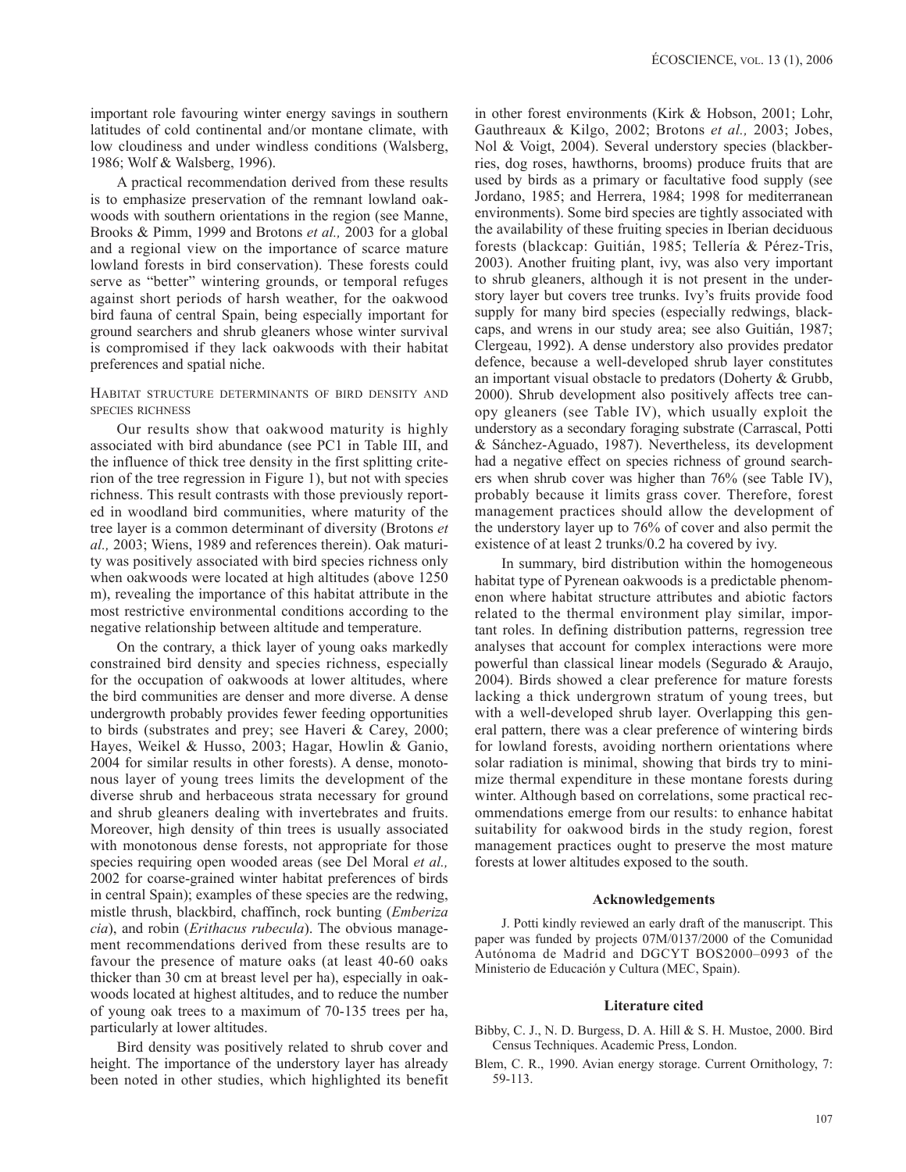important role favouring winter energy savings in southern latitudes of cold continental and/or montane climate, with low cloudiness and under windless conditions (Walsberg, 1986; Wolf & Walsberg, 1996).

A practical recommendation derived from these results is to emphasize preservation of the remnant lowland oakwoods with southern orientations in the region (see Manne, Brooks & Pimm, 1999 and Brotons *et al.,* 2003 for a global and a regional view on the importance of scarce mature lowland forests in bird conservation). These forests could serve as "better" wintering grounds, or temporal refuges against short periods of harsh weather, for the oakwood bird fauna of central Spain, being especially important for ground searchers and shrub gleaners whose winter survival is compromised if they lack oakwoods with their habitat preferences and spatial niche.

## Habitat structure determinants of bird density and species richness

Our results show that oakwood maturity is highly associated with bird abundance (see PC1 in Table III, and the influence of thick tree density in the first splitting criterion of the tree regression in Figure 1), but not with species richness. This result contrasts with those previously reported in woodland bird communities, where maturity of the tree layer is a common determinant of diversity (Brotons *et al.,* 2003; Wiens, 1989 and references therein). Oak maturity was positively associated with bird species richness only when oakwoods were located at high altitudes (above 1250 m), revealing the importance of this habitat attribute in the most restrictive environmental conditions according to the negative relationship between altitude and temperature.

On the contrary, a thick layer of young oaks markedly constrained bird density and species richness, especially for the occupation of oakwoods at lower altitudes, where the bird communities are denser and more diverse. A dense undergrowth probably provides fewer feeding opportunities to birds (substrates and prey; see Haveri & Carey, 2000; Hayes, Weikel & Husso, 2003; Hagar, Howlin & Ganio, 2004 for similar results in other forests). A dense, monotonous layer of young trees limits the development of the diverse shrub and herbaceous strata necessary for ground and shrub gleaners dealing with invertebrates and fruits. Moreover, high density of thin trees is usually associated with monotonous dense forests, not appropriate for those species requiring open wooded areas (see Del Moral *et al.,* 2002 for coarse-grained winter habitat preferences of birds in central Spain); examples of these species are the redwing, mistle thrush, blackbird, chaffinch, rock bunting (*Emberiza cia*), and robin (*Erithacus rubecula*). The obvious management recommendations derived from these results are to favour the presence of mature oaks (at least 40-60 oaks thicker than 30 cm at breast level per ha), especially in oakwoods located at highest altitudes, and to reduce the number of young oak trees to a maximum of 70-135 trees per ha, particularly at lower altitudes.

Bird density was positively related to shrub cover and height. The importance of the understory layer has already been noted in other studies, which highlighted its benefit in other forest environments (Kirk & Hobson, 2001; Lohr, Gauthreaux & Kilgo, 2002; Brotons *et al.,* 2003; Jobes, Nol & Voigt, 2004). Several understory species (blackberries, dog roses, hawthorns, brooms) produce fruits that are used by birds as a primary or facultative food supply (see Jordano, 1985; and Herrera, 1984; 1998 for mediterranean environments). Some bird species are tightly associated with the availability of these fruiting species in Iberian deciduous forests (blackcap: Guitián, 1985; Tellería & Pérez-Tris, 2003). Another fruiting plant, ivy, was also very important to shrub gleaners, although it is not present in the understory layer but covers tree trunks. Ivy's fruits provide food supply for many bird species (especially redwings, blackcaps, and wrens in our study area; see also Guitián, 1987; Clergeau, 1992). A dense understory also provides predator defence, because a well-developed shrub layer constitutes an important visual obstacle to predators (Doherty & Grubb, 2000). Shrub development also positively affects tree canopy gleaners (see Table IV), which usually exploit the understory as a secondary foraging substrate (Carrascal, Potti & Sánchez-Aguado, 1987). Nevertheless, its development had a negative effect on species richness of ground searchers when shrub cover was higher than 76% (see Table IV), probably because it limits grass cover. Therefore, forest management practices should allow the development of the understory layer up to 76% of cover and also permit the existence of at least 2 trunks/0.2 ha covered by ivy.

In summary, bird distribution within the homogeneous habitat type of Pyrenean oakwoods is a predictable phenomenon where habitat structure attributes and abiotic factors related to the thermal environment play similar, important roles. In defining distribution patterns, regression tree analyses that account for complex interactions were more powerful than classical linear models (Segurado & Araujo, 2004). Birds showed a clear preference for mature forests lacking a thick undergrown stratum of young trees, but with a well-developed shrub layer. Overlapping this general pattern, there was a clear preference of wintering birds for lowland forests, avoiding northern orientations where solar radiation is minimal, showing that birds try to minimize thermal expenditure in these montane forests during winter. Although based on correlations, some practical recommendations emerge from our results: to enhance habitat suitability for oakwood birds in the study region, forest management practices ought to preserve the most mature forests at lower altitudes exposed to the south.

#### **Acknowledgements**

J. Potti kindly reviewed an early draft of the manuscript. This paper was funded by projects 07M/0137/2000 of the Comunidad Autónoma de Madrid and DGCYT BOS2000–0993 of the Ministerio de Educación y Cultura (MEC, Spain).

#### **Literature cited**

- Bibby, C. J., N. D. Burgess, D. A. Hill & S. H. Mustoe, 2000. Bird Census Techniques. Academic Press, London.
- Blem, C. R., 1990. Avian energy storage. Current Ornithology, 7: 59-113.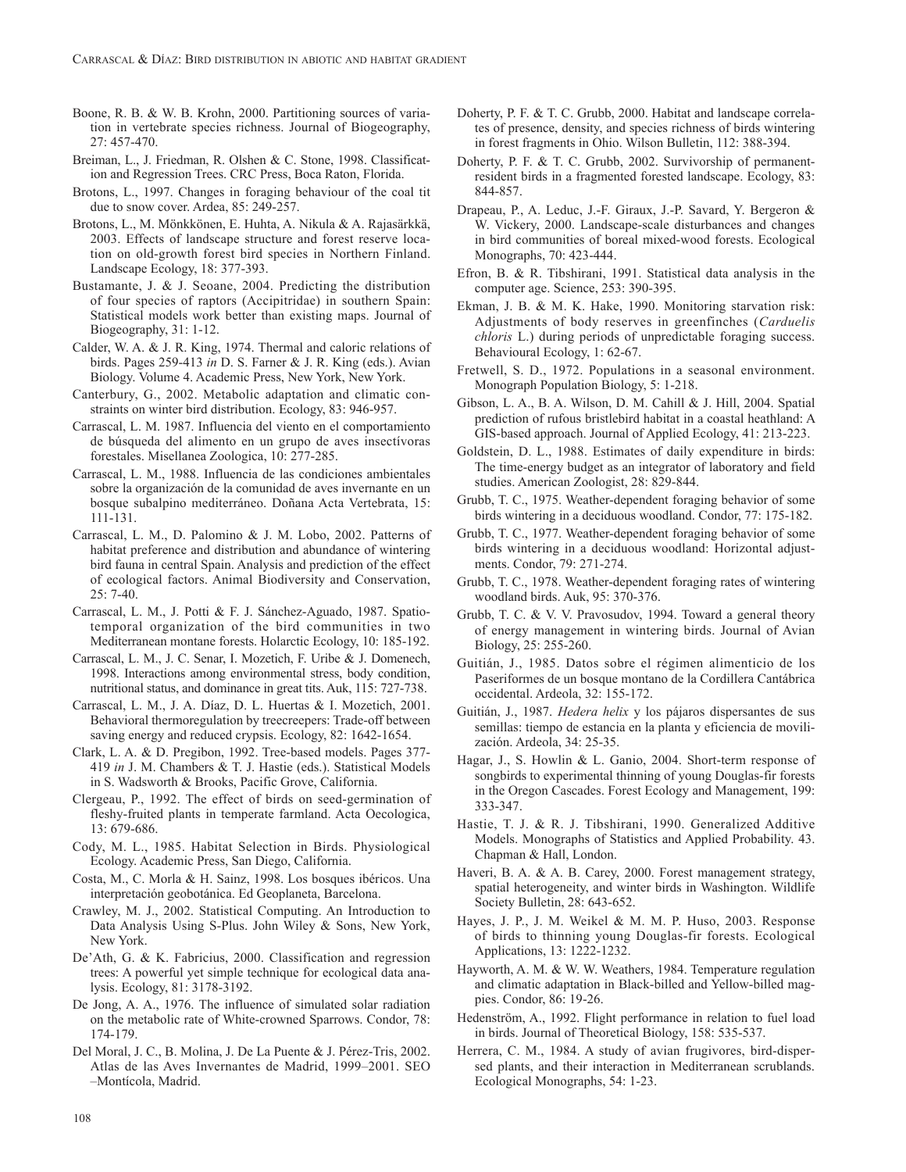- Boone, R. B. & W. B. Krohn, 2000. Partitioning sources of variation in vertebrate species richness. Journal of Biogeography, 27: 457-470.
- Breiman, L., J. Friedman, R. Olshen & C. Stone, 1998. Classification and Regression Trees. CRC Press, Boca Raton, Florida.
- Brotons, L., 1997. Changes in foraging behaviour of the coal tit due to snow cover. Ardea, 85: 249-257.
- Brotons, L., M. Mönkkönen, E. Huhta, A. Nikula & A. Rajasärkkä, 2003. Effects of landscape structure and forest reserve location on old-growth forest bird species in Northern Finland. Landscape Ecology, 18: 377-393.
- Bustamante, J. & J. Seoane, 2004. Predicting the distribution of four species of raptors (Accipitridae) in southern Spain: Statistical models work better than existing maps. Journal of Biogeography, 31: 1-12.
- Calder, W. A. & J. R. King, 1974. Thermal and caloric relations of birds. Pages 259-413 *in* D. S. Farner & J. R. King (eds.). Avian Biology. Volume 4. Academic Press, New York, New York.
- Canterbury, G., 2002. Metabolic adaptation and climatic constraints on winter bird distribution. Ecology, 83: 946-957.
- Carrascal, L. M. 1987. Influencia del viento en el comportamiento de búsqueda del alimento en un grupo de aves insectívoras forestales. Misellanea Zoologica, 10: 277-285.
- Carrascal, L. M., 1988. Influencia de las condiciones ambientales sobre la organización de la comunidad de aves invernante en un bosque subalpino mediterráneo. Doñana Acta Vertebrata, 15: 111-131.
- Carrascal, L. M., D. Palomino & J. M. Lobo, 2002. Patterns of habitat preference and distribution and abundance of wintering bird fauna in central Spain. Analysis and prediction of the effect of ecological factors. Animal Biodiversity and Conservation, 25: 7-40.
- Carrascal, L. M., J. Potti & F. J. Sánchez-Aguado, 1987. Spatiotemporal organization of the bird communities in two Mediterranean montane forests. Holarctic Ecology, 10: 185-192.
- Carrascal, L. M., J. C. Senar, I. Mozetich, F. Uribe & J. Domenech, 1998. Interactions among environmental stress, body condition, nutritional status, and dominance in great tits. Auk, 115: 727-738.
- Carrascal, L. M., J. A. Díaz, D. L. Huertas & I. Mozetich, 2001. Behavioral thermoregulation by treecreepers: Trade-off between saving energy and reduced crypsis. Ecology, 82: 1642-1654.
- Clark, L. A. & D. Pregibon, 1992. Tree-based models. Pages 377- 419 *in* J. M. Chambers & T. J. Hastie (eds.). Statistical Models in S. Wadsworth & Brooks, Pacific Grove, California.
- Clergeau, P., 1992. The effect of birds on seed-germination of fleshy-fruited plants in temperate farmland. Acta Oecologica, 13: 679-686.
- Cody, M. L., 1985. Habitat Selection in Birds. Physiological Ecology. Academic Press, San Diego, California.
- Costa, M., C. Morla & H. Sainz, 1998. Los bosques ibéricos. Una interpretación geobotánica. Ed Geoplaneta, Barcelona.
- Crawley, M. J., 2002. Statistical Computing. An Introduction to Data Analysis Using S-Plus. John Wiley & Sons, New York, New York.
- De'Ath, G. & K. Fabricius, 2000. Classification and regression trees: A powerful yet simple technique for ecological data analysis. Ecology, 81: 3178-3192.
- De Jong, A. A., 1976. The influence of simulated solar radiation on the metabolic rate of White-crowned Sparrows. Condor, 78: 174-179.
- Del Moral, J. C., B. Molina, J. De La Puente & J. Pérez-Tris, 2002. Atlas de las Aves Invernantes de Madrid, 1999–2001. SEO –Montícola, Madrid.
- Doherty, P. F. & T. C. Grubb, 2000. Habitat and landscape correlates of presence, density, and species richness of birds wintering in forest fragments in Ohio. Wilson Bulletin, 112: 388-394.
- Doherty, P. F. & T. C. Grubb, 2002. Survivorship of permanentresident birds in a fragmented forested landscape. Ecology, 83: 844-857.
- Drapeau, P., A. Leduc, J.-F. Giraux, J.-P. Savard, Y. Bergeron & W. Vickery, 2000. Landscape-scale disturbances and changes in bird communities of boreal mixed-wood forests. Ecological Monographs, 70: 423-444.
- Efron, B. & R. Tibshirani, 1991. Statistical data analysis in the computer age. Science, 253: 390-395.
- Ekman, J. B. & M. K. Hake, 1990. Monitoring starvation risk: Adjustments of body reserves in greenfinches (*Carduelis chloris* L.) during periods of unpredictable foraging success. Behavioural Ecology, 1: 62-67.
- Fretwell, S. D., 1972. Populations in a seasonal environment. Monograph Population Biology, 5: 1-218.
- Gibson, L. A., B. A. Wilson, D. M. Cahill & J. Hill, 2004. Spatial prediction of rufous bristlebird habitat in a coastal heathland: A GIS-based approach. Journal of Applied Ecology, 41: 213-223.
- Goldstein, D. L., 1988. Estimates of daily expenditure in birds: The time-energy budget as an integrator of laboratory and field studies. American Zoologist, 28: 829-844.
- Grubb, T. C., 1975. Weather-dependent foraging behavior of some birds wintering in a deciduous woodland. Condor, 77: 175-182.
- Grubb, T. C., 1977. Weather-dependent foraging behavior of some birds wintering in a deciduous woodland: Horizontal adjustments. Condor, 79: 271-274.
- Grubb, T. C., 1978. Weather-dependent foraging rates of wintering woodland birds. Auk, 95: 370-376.
- Grubb, T. C. & V. V. Pravosudov, 1994. Toward a general theory of energy management in wintering birds. Journal of Avian Biology, 25: 255-260.
- Guitián, J., 1985. Datos sobre el régimen alimenticio de los Paseriformes de un bosque montano de la Cordillera Cantábrica occidental. Ardeola, 32: 155-172.
- Guitián, J., 1987. *Hedera helix* y los pájaros dispersantes de sus semillas: tiempo de estancia en la planta y eficiencia de movilización. Ardeola, 34: 25-35.
- Hagar, J., S. Howlin & L. Ganio, 2004. Short-term response of songbirds to experimental thinning of young Douglas-fir forests in the Oregon Cascades. Forest Ecology and Management, 199: 333-347.
- Hastie, T. J. & R. J. Tibshirani, 1990. Generalized Additive Models. Monographs of Statistics and Applied Probability. 43. Chapman & Hall, London.
- Haveri, B. A. & A. B. Carey, 2000. Forest management strategy, spatial heterogeneity, and winter birds in Washington. Wildlife Society Bulletin, 28: 643-652.
- Hayes, J. P., J. M. Weikel & M. M. P. Huso, 2003. Response of birds to thinning young Douglas-fir forests. Ecological Applications, 13: 1222-1232.
- Hayworth, A. M. & W. W. Weathers, 1984. Temperature regulation and climatic adaptation in Black-billed and Yellow-billed magpies. Condor, 86: 19-26.
- Hedenström, A., 1992. Flight performance in relation to fuel load in birds. Journal of Theoretical Biology, 158: 535-537.
- Herrera, C. M., 1984. A study of avian frugivores, bird-dispersed plants, and their interaction in Mediterranean scrublands. Ecological Monographs, 54: 1-23.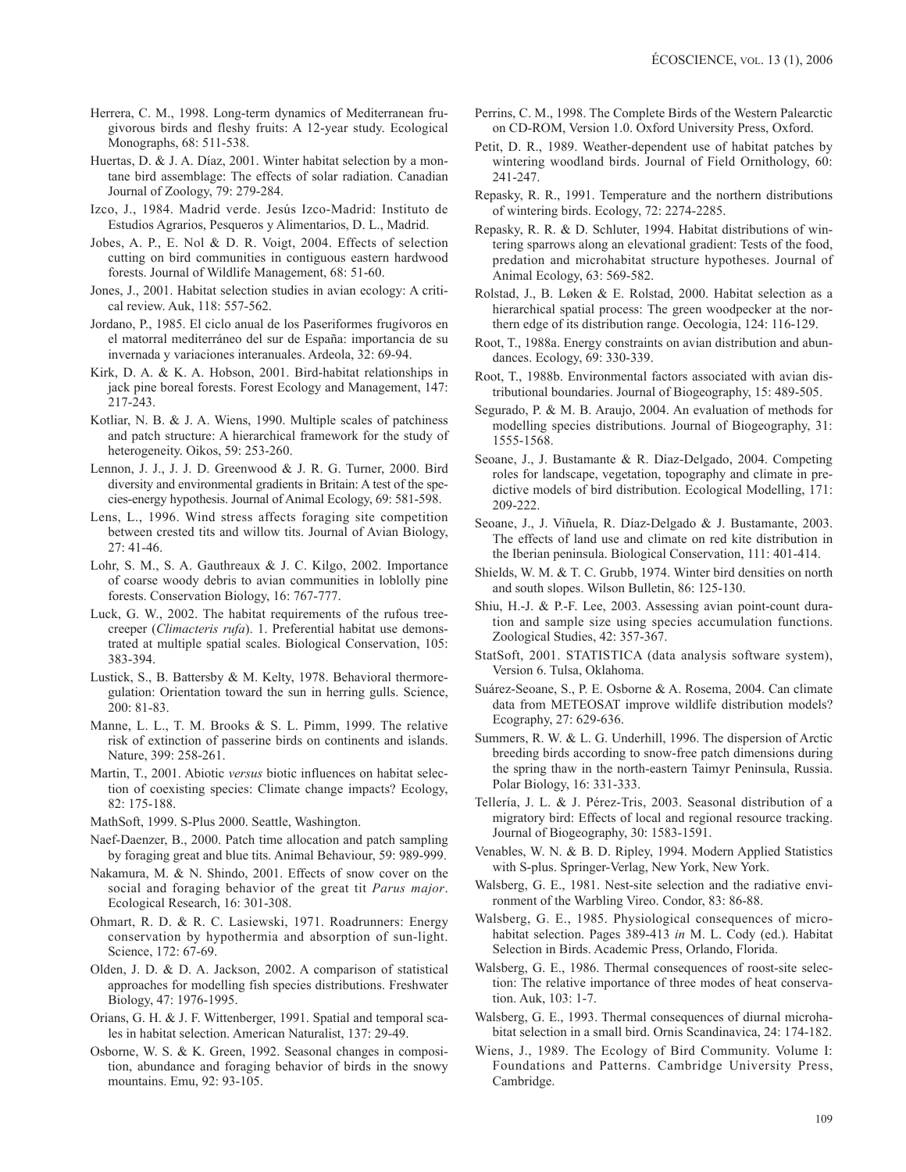- Herrera, C. M., 1998. Long-term dynamics of Mediterranean frugivorous birds and fleshy fruits: A 12-year study. Ecological Monographs, 68: 511-538.
- Huertas, D. & J. A. Díaz, 2001. Winter habitat selection by a montane bird assemblage: The effects of solar radiation. Canadian Journal of Zoology, 79: 279-284.
- Izco, J., 1984. Madrid verde. Jesús Izco-Madrid: Instituto de Estudios Agrarios, Pesqueros y Alimentarios, D. L., Madrid.
- Jobes, A. P., E. Nol & D. R. Voigt, 2004. Effects of selection cutting on bird communities in contiguous eastern hardwood forests. Journal of Wildlife Management, 68: 51-60.
- Jones, J., 2001. Habitat selection studies in avian ecology: A critical review. Auk, 118: 557-562.
- Jordano, P., 1985. El ciclo anual de los Paseriformes frugívoros en el matorral mediterráneo del sur de España: importancia de su invernada y variaciones interanuales. Ardeola, 32: 69-94.
- Kirk, D. A. & K. A. Hobson, 2001. Bird-habitat relationships in jack pine boreal forests. Forest Ecology and Management, 147: 217-243.
- Kotliar, N. B. & J. A. Wiens, 1990. Multiple scales of patchiness and patch structure: A hierarchical framework for the study of heterogeneity. Oikos, 59: 253-260.
- Lennon, J. J., J. J. D. Greenwood & J. R. G. Turner, 2000. Bird diversity and environmental gradients in Britain: A test of the species-energy hypothesis. Journal of Animal Ecology, 69: 581-598.
- Lens, L., 1996. Wind stress affects foraging site competition between crested tits and willow tits. Journal of Avian Biology, 27: 41-46.
- Lohr, S. M., S. A. Gauthreaux & J. C. Kilgo, 2002. Importance of coarse woody debris to avian communities in loblolly pine forests. Conservation Biology, 16: 767-777.
- Luck, G. W., 2002. The habitat requirements of the rufous treecreeper (*Climacteris rufa*). 1. Preferential habitat use demonstrated at multiple spatial scales. Biological Conservation, 105: 383-394.
- Lustick, S., B. Battersby & M. Kelty, 1978. Behavioral thermoregulation: Orientation toward the sun in herring gulls. Science, 200: 81-83.
- Manne, L. L., T. M. Brooks & S. L. Pimm, 1999. The relative risk of extinction of passerine birds on continents and islands. Nature, 399: 258-261.
- Martin, T., 2001. Abiotic *versus* biotic influences on habitat selection of coexisting species: Climate change impacts? Ecology, 82: 175-188.
- MathSoft, 1999. S-Plus 2000. Seattle, Washington.
- Naef-Daenzer, B., 2000. Patch time allocation and patch sampling by foraging great and blue tits. Animal Behaviour, 59: 989-999.
- Nakamura, M. & N. Shindo, 2001. Effects of snow cover on the social and foraging behavior of the great tit *Parus major*. Ecological Research, 16: 301-308.
- Ohmart, R. D. & R. C. Lasiewski, 1971. Roadrunners: Energy conservation by hypothermia and absorption of sun-light. Science, 172: 67-69.
- Olden, J. D. & D. A. Jackson, 2002. A comparison of statistical approaches for modelling fish species distributions. Freshwater Biology, 47: 1976-1995.
- Orians, G. H. & J. F. Wittenberger, 1991. Spatial and temporal scales in habitat selection. American Naturalist, 137: 29-49.
- Osborne, W. S. & K. Green, 1992. Seasonal changes in composition, abundance and foraging behavior of birds in the snowy mountains. Emu, 92: 93-105.
- Perrins, C. M., 1998. The Complete Birds of the Western Palearctic on CD-ROM, Version 1.0. Oxford University Press, Oxford.
- Petit, D. R., 1989. Weather-dependent use of habitat patches by wintering woodland birds. Journal of Field Ornithology, 60: 241-247.
- Repasky, R. R., 1991. Temperature and the northern distributions of wintering birds. Ecology, 72: 2274-2285.
- Repasky, R. R. & D. Schluter, 1994. Habitat distributions of wintering sparrows along an elevational gradient: Tests of the food, predation and microhabitat structure hypotheses. Journal of Animal Ecology, 63: 569-582.
- Rolstad, J., B. Løken & E. Rolstad, 2000. Habitat selection as a hierarchical spatial process: The green woodpecker at the northern edge of its distribution range. Oecologia, 124: 116-129.
- Root, T., 1988a. Energy constraints on avian distribution and abundances. Ecology, 69: 330-339.
- Root, T., 1988b. Environmental factors associated with avian distributional boundaries. Journal of Biogeography, 15: 489-505.
- Segurado, P. & M. B. Araujo, 2004. An evaluation of methods for modelling species distributions. Journal of Biogeography, 31: 1555-1568.
- Seoane, J., J. Bustamante & R. Díaz-Delgado, 2004. Competing roles for landscape, vegetation, topography and climate in predictive models of bird distribution. Ecological Modelling, 171: 209-222.
- Seoane, J., J. Viñuela, R. Díaz-Delgado & J. Bustamante, 2003. The effects of land use and climate on red kite distribution in the Iberian peninsula. Biological Conservation, 111: 401-414.
- Shields, W. M. & T. C. Grubb, 1974. Winter bird densities on north and south slopes. Wilson Bulletin, 86: 125-130.
- Shiu, H.-J. & P.-F. Lee, 2003. Assessing avian point-count duration and sample size using species accumulation functions. Zoological Studies, 42: 357-367.
- StatSoft, 2001. STATISTICA (data analysis software system), Version 6. Tulsa, Oklahoma.
- Suárez-Seoane, S., P. E. Osborne & A. Rosema, 2004. Can climate data from METEOSAT improve wildlife distribution models? Ecography, 27: 629-636.
- Summers, R. W. & L. G. Underhill, 1996. The dispersion of Arctic breeding birds according to snow-free patch dimensions during the spring thaw in the north-eastern Taimyr Peninsula, Russia. Polar Biology, 16: 331-333.
- Tellería, J. L. & J. Pérez-Tris, 2003. Seasonal distribution of a migratory bird: Effects of local and regional resource tracking. Journal of Biogeography, 30: 1583-1591.
- Venables, W. N. & B. D. Ripley, 1994. Modern Applied Statistics with S-plus. Springer-Verlag, New York, New York.
- Walsberg, G. E., 1981. Nest-site selection and the radiative environment of the Warbling Vireo. Condor, 83: 86-88.
- Walsberg, G. E., 1985. Physiological consequences of microhabitat selection. Pages 389-413 *in* M. L. Cody (ed.). Habitat Selection in Birds. Academic Press, Orlando, Florida.
- Walsberg, G. E., 1986. Thermal consequences of roost-site selection: The relative importance of three modes of heat conservation. Auk, 103: 1-7.
- Walsberg, G. E., 1993. Thermal consequences of diurnal microhabitat selection in a small bird. Ornis Scandinavica, 24: 174-182.
- Wiens, J., 1989. The Ecology of Bird Community. Volume I: Foundations and Patterns. Cambridge University Press, Cambridge.